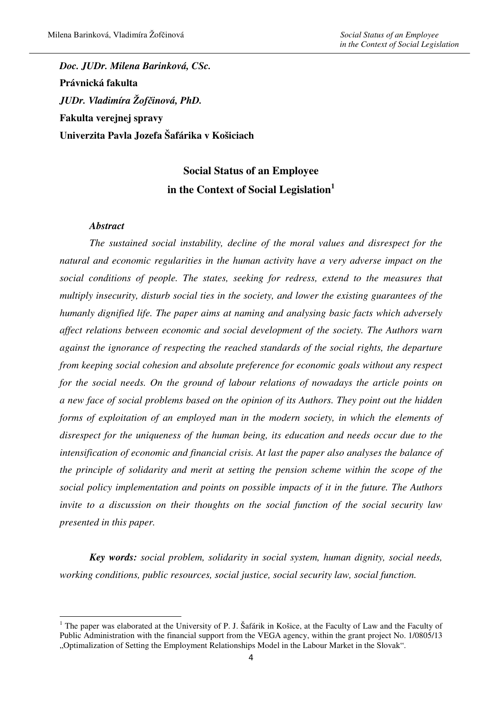*Doc. JUDr. Milena Barinková, CSc.*  **Právnická fakulta**  *JUDr. Vladimíra Žof*č*inová, PhD.*  **Fakulta verejnej spravy Univerzita Pavla Jozefa Šafárika v Košiciach** 

# **Social Status of an Employee in the Context of Social Legislation<sup>1</sup>**

### *Abstract*

 $\overline{\phantom{a}}$ 

*The sustained social instability, decline of the moral values and disrespect for the natural and economic regularities in the human activity have a very adverse impact on the social conditions of people. The states, seeking for redress, extend to the measures that multiply insecurity, disturb social ties in the society, and lower the existing guarantees of the humanly dignified life. The paper aims at naming and analysing basic facts which adversely affect relations between economic and social development of the society. The Authors warn against the ignorance of respecting the reached standards of the social rights, the departure from keeping social cohesion and absolute preference for economic goals without any respect for the social needs. On the ground of labour relations of nowadays the article points on a new face of social problems based on the opinion of its Authors. They point out the hidden forms of exploitation of an employed man in the modern society, in which the elements of disrespect for the uniqueness of the human being, its education and needs occur due to the intensification of economic and financial crisis. At last the paper also analyses the balance of the principle of solidarity and merit at setting the pension scheme within the scope of the social policy implementation and points on possible impacts of it in the future. The Authors invite to a discussion on their thoughts on the social function of the social security law presented in this paper.* 

*Key words: social problem, solidarity in social system, human dignity, social needs, working conditions, public resources, social justice, social security law, social function.* 

<sup>&</sup>lt;sup>1</sup> The paper was elaborated at the University of P. J. Šafárik in Košice, at the Faculty of Law and the Faculty of Public Administration with the financial support from the VEGA agency, within the grant project No. 1/0805/13 "Optimalization of Setting the Employment Relationships Model in the Labour Market in the Slovak".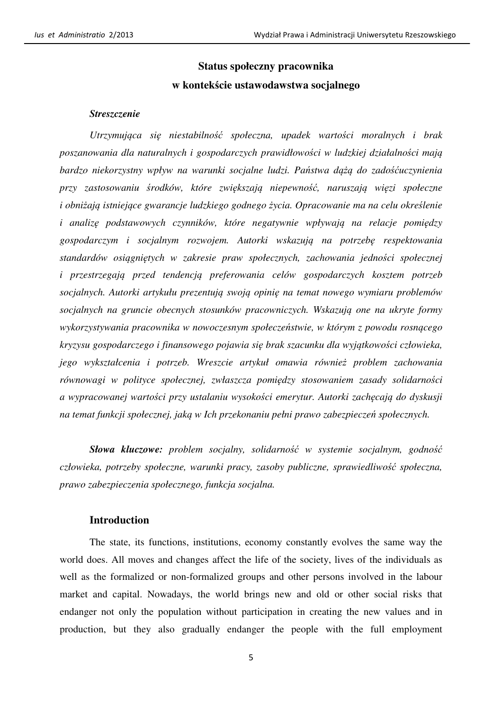## **Status społeczny pracownika w kontek**ś**cie ustawodawstwa socjalnego**

#### *Streszczenie*

*Utrzymuj*ą*ca si*ę *niestabilno*ść *społeczna, upadek warto*ś*ci moralnych i brak poszanowania dla naturalnych i gospodarczych prawidłowo*ś*ci w ludzkiej działalno*ś*ci maj*ą *bardzo niekorzystny wpływ na warunki socjalne ludzi. Pa*ń*stwa d*ążą *do zado*ść*uczynienia przy zastosowaniu* ś*rodków, które zwi*ę*kszaj*ą *niepewno*ść*, naruszaj*ą *wi*ę*zi społeczne i obni*ż*aj*ą *istniej*ą*ce gwarancje ludzkiego godnego* ż*ycia. Opracowanie ma na celu okre*ś*lenie i analiz*ę *podstawowych czynników, które negatywnie wpływaj*ą *na relacje pomi*ę*dzy gospodarczym i socjalnym rozwojem. Autorki wskazuj*ą *na potrzeb*ę *respektowania standardów osi*ą*gni*ę*tych w zakresie praw społecznych, zachowania jedno*ś*ci społecznej i przestrzegaj*ą *przed tendencj*ą *preferowania celów gospodarczych kosztem potrzeb socjalnych. Autorki artykułu prezentuj*ą *swoj*ą *opini*ę *na temat nowego wymiaru problemów socjalnych na gruncie obecnych stosunków pracowniczych. Wskazuj*ą *one na ukryte formy wykorzystywania pracownika w nowoczesnym społecze*ń*stwie, w którym z powodu rosn*ą*cego kryzysu gospodarczego i finansowego pojawia si*ę *brak szacunku dla wyj*ą*tkowo*ś*ci człowieka, jego wykształcenia i potrzeb. Wreszcie artykuł omawia równie*ż *problem zachowania równowagi w polityce społecznej, zwłaszcza pomi*ę*dzy stosowaniem zasady solidarno*ś*ci a wypracowanej warto*ś*ci przy ustalaniu wysoko*ś*ci emerytur. Autorki zach*ę*caj*ą *do dyskusji na temat funkcji społecznej, jak*ą *w Ich przekonaniu pełni prawo zabezpiecze*ń *społecznych.* 

*Słowa kluczowe: problem socjalny, solidarno*ść *w systemie socjalnym, godno*ść *człowieka, potrzeby społeczne, warunki pracy, zasoby publiczne, sprawiedliwo*ść *społeczna, prawo zabezpieczenia społecznego, funkcja socjalna.*

#### **Introduction**

The state, its functions, institutions, economy constantly evolves the same way the world does. All moves and changes affect the life of the society, lives of the individuals as well as the formalized or non-formalized groups and other persons involved in the labour market and capital. Nowadays, the world brings new and old or other social risks that endanger not only the population without participation in creating the new values and in production, but they also gradually endanger the people with the full employment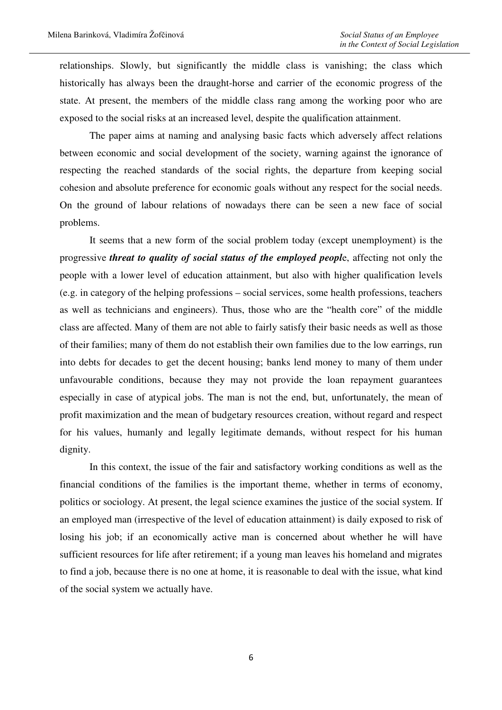relationships. Slowly, but significantly the middle class is vanishing; the class which historically has always been the draught-horse and carrier of the economic progress of the state. At present, the members of the middle class rang among the working poor who are exposed to the social risks at an increased level, despite the qualification attainment.

The paper aims at naming and analysing basic facts which adversely affect relations between economic and social development of the society, warning against the ignorance of respecting the reached standards of the social rights, the departure from keeping social cohesion and absolute preference for economic goals without any respect for the social needs. On the ground of labour relations of nowadays there can be seen a new face of social problems.

It seems that a new form of the social problem today (except unemployment) is the progressive *threat to quality of social status of the employed peopl*e, affecting not only the people with a lower level of education attainment, but also with higher qualification levels (e.g. in category of the helping professions – social services, some health professions, teachers as well as technicians and engineers). Thus, those who are the "health core" of the middle class are affected. Many of them are not able to fairly satisfy their basic needs as well as those of their families; many of them do not establish their own families due to the low earrings, run into debts for decades to get the decent housing; banks lend money to many of them under unfavourable conditions, because they may not provide the loan repayment guarantees especially in case of atypical jobs. The man is not the end, but, unfortunately, the mean of profit maximization and the mean of budgetary resources creation, without regard and respect for his values, humanly and legally legitimate demands, without respect for his human dignity.

In this context, the issue of the fair and satisfactory working conditions as well as the financial conditions of the families is the important theme, whether in terms of economy, politics or sociology. At present, the legal science examines the justice of the social system. If an employed man (irrespective of the level of education attainment) is daily exposed to risk of losing his job; if an economically active man is concerned about whether he will have sufficient resources for life after retirement; if a young man leaves his homeland and migrates to find a job, because there is no one at home, it is reasonable to deal with the issue, what kind of the social system we actually have.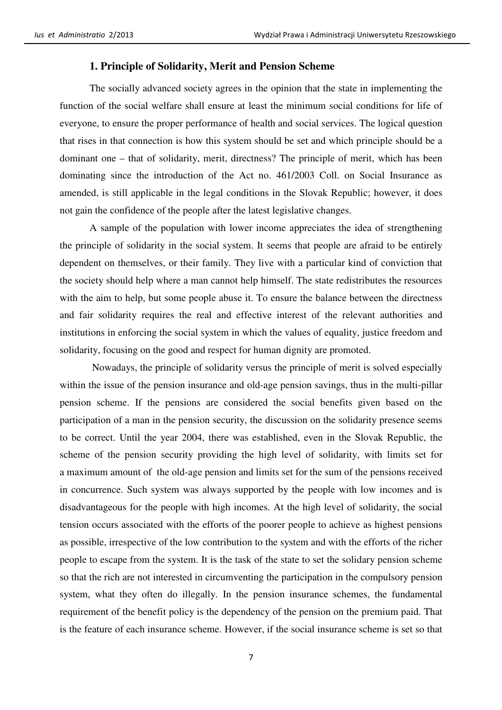#### **1. Principle of Solidarity, Merit and Pension Scheme**

The socially advanced society agrees in the opinion that the state in implementing the function of the social welfare shall ensure at least the minimum social conditions for life of everyone, to ensure the proper performance of health and social services. The logical question that rises in that connection is how this system should be set and which principle should be a dominant one – that of solidarity, merit, directness? The principle of merit, which has been dominating since the introduction of the Act no. 461/2003 Coll. on Social Insurance as amended, is still applicable in the legal conditions in the Slovak Republic; however, it does not gain the confidence of the people after the latest legislative changes.

A sample of the population with lower income appreciates the idea of strengthening the principle of solidarity in the social system. It seems that people are afraid to be entirely dependent on themselves, or their family. They live with a particular kind of conviction that the society should help where a man cannot help himself. The state redistributes the resources with the aim to help, but some people abuse it. To ensure the balance between the directness and fair solidarity requires the real and effective interest of the relevant authorities and institutions in enforcing the social system in which the values of equality, justice freedom and solidarity, focusing on the good and respect for human dignity are promoted.

 Nowadays, the principle of solidarity versus the principle of merit is solved especially within the issue of the pension insurance and old-age pension savings, thus in the multi-pillar pension scheme. If the pensions are considered the social benefits given based on the participation of a man in the pension security, the discussion on the solidarity presence seems to be correct. Until the year 2004, there was established, even in the Slovak Republic, the scheme of the pension security providing the high level of solidarity, with limits set for a maximum amount of the old-age pension and limits set for the sum of the pensions received in concurrence. Such system was always supported by the people with low incomes and is disadvantageous for the people with high incomes. At the high level of solidarity, the social tension occurs associated with the efforts of the poorer people to achieve as highest pensions as possible, irrespective of the low contribution to the system and with the efforts of the richer people to escape from the system. It is the task of the state to set the solidary pension scheme so that the rich are not interested in circumventing the participation in the compulsory pension system, what they often do illegally. In the pension insurance schemes, the fundamental requirement of the benefit policy is the dependency of the pension on the premium paid. That is the feature of each insurance scheme. However, if the social insurance scheme is set so that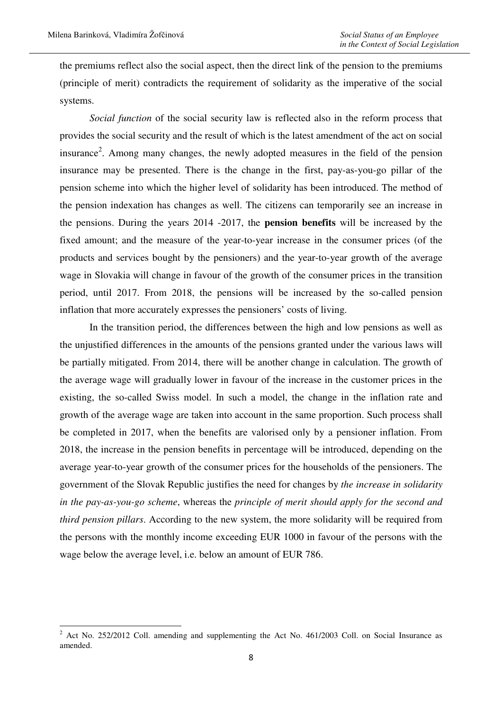the premiums reflect also the social aspect, then the direct link of the pension to the premiums (principle of merit) contradicts the requirement of solidarity as the imperative of the social systems.

*Social function* of the social security law is reflected also in the reform process that provides the social security and the result of which is the latest amendment of the act on social insurance<sup>2</sup>. Among many changes, the newly adopted measures in the field of the pension insurance may be presented. There is the change in the first, pay-as-you-go pillar of the pension scheme into which the higher level of solidarity has been introduced. The method of the pension indexation has changes as well. The citizens can temporarily see an increase in the pensions. During the years 2014 -2017, the **pension benefits** will be increased by the fixed amount; and the measure of the year-to-year increase in the consumer prices (of the products and services bought by the pensioners) and the year-to-year growth of the average wage in Slovakia will change in favour of the growth of the consumer prices in the transition period, until 2017. From 2018, the pensions will be increased by the so-called pension inflation that more accurately expresses the pensioners' costs of living.

In the transition period, the differences between the high and low pensions as well as the unjustified differences in the amounts of the pensions granted under the various laws will be partially mitigated. From 2014, there will be another change in calculation. The growth of the average wage will gradually lower in favour of the increase in the customer prices in the existing, the so-called Swiss model. In such a model, the change in the inflation rate and growth of the average wage are taken into account in the same proportion. Such process shall be completed in 2017, when the benefits are valorised only by a pensioner inflation. From 2018, the increase in the pension benefits in percentage will be introduced, depending on the average year-to-year growth of the consumer prices for the households of the pensioners. The government of the Slovak Republic justifies the need for changes by *the increase in solidarity in the pay-as-you-go scheme*, whereas the *principle of merit should apply for the second and third pension pillars*. According to the new system, the more solidarity will be required from the persons with the monthly income exceeding EUR 1000 in favour of the persons with the wage below the average level, i.e. below an amount of EUR 786.

 $2^2$  Act No. 252/2012 Coll. amending and supplementing the Act No. 461/2003 Coll. on Social Insurance as amended.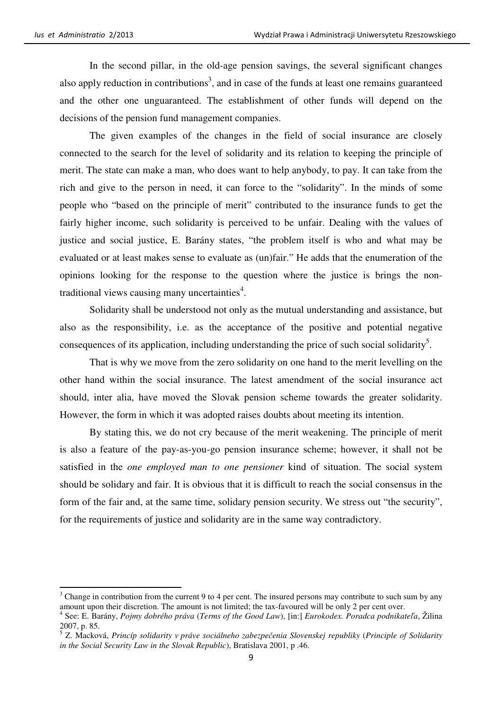In the second pillar, in the old-age pension savings, the several significant changes also apply reduction in contributions<sup>3</sup>, and in case of the funds at least one remains guaranteed and the other one unguaranteed. The establishment of other funds will depend on the decisions of the pension fund management companies.

The given examples of the changes in the field of social insurance are closely connected to the search for the level of solidarity and its relation to keeping the principle of merit. The state can make a man, who does want to help anybody, to pay. It can take from the rich and give to the person in need, it can force to the "solidarity". In the minds of some people who "based on the principle of merit" contributed to the insurance funds to get the fairly higher income, such solidarity is perceived to be unfair. Dealing with the values of justice and social justice, E. Barány states, "the problem itself is who and what may be evaluated or at least makes sense to evaluate as (un)fair." He adds that the enumeration of the opinions looking for the response to the question where the justice is brings the nontraditional views causing many uncertainties $4$ .

Solidarity shall be understood not only as the mutual understanding and assistance, but also as the responsibility, i.e. as the acceptance of the positive and potential negative consequences of its application, including understanding the price of such social solidarity<sup>5</sup>.

That is why we move from the zero solidarity on one hand to the merit levelling on the other hand within the social insurance. The latest amendment of the social insurance act should, inter alia, have moved the Slovak pension scheme towards the greater solidarity. However, the form in which it was adopted raises doubts about meeting its intention.

By stating this, we do not cry because of the merit weakening. The principle of merit is also a feature of the pay-as-you-go pension insurance scheme; however, it shall not be satisfied in the *one employed man to one pensioner* kind of situation. The social system should be solidary and fair. It is obvious that it is difficult to reach the social consensus in the form of the fair and, at the same time, solidary pension security. We stress out "the security", for the requirements of justice and solidarity are in the same way contradictory.

 $3$  Change in contribution from the current 9 to 4 per cent. The insured persons may contribute to such sum by any amount upon their discretion. The amount is not limited; the tax-favoured will be only 2 per cent over.

<sup>4</sup> See: E. Barány, *Pojmy dobrého práva* (*Terms of the Good Law*), [in:] *Eurokodex. Poradca podnikate*ľ*a*, Žilina 2007, p. 85.

<sup>5</sup> Z. Macková, *Princíp solidarity v práve sociálneho zabezpe*č*enia Slovenskej republiky* (*Principle of Solidarity in the Social Security Law in the Slovak Republic*), Bratislava 2001, p .46.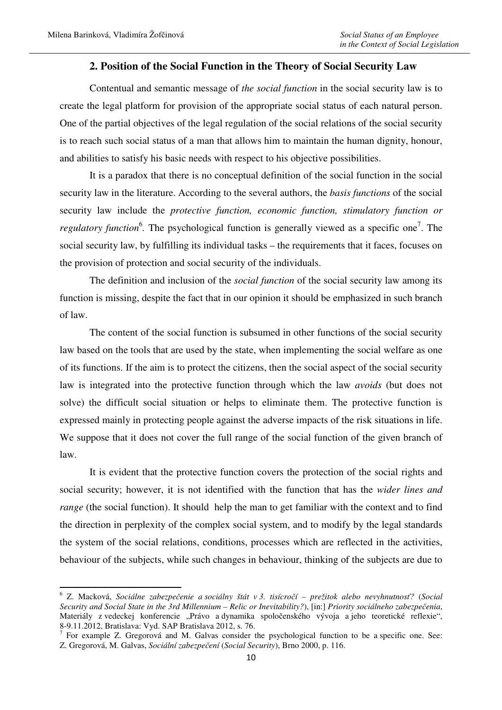#### **2. Position of the Social Function in the Theory of Social Security Law**

Contentual and semantic message of *the social function* in the social security law is to create the legal platform for provision of the appropriate social status of each natural person. One of the partial objectives of the legal regulation of the social relations of the social security is to reach such social status of a man that allows him to maintain the human dignity, honour, and abilities to satisfy his basic needs with respect to his objective possibilities.

It is a paradox that there is no conceptual definition of the social function in the social security law in the literature. According to the several authors, the *basis functions* of the social security law include the *protective function, economic function, stimulatory function or regulatory function*<sup>6</sup>. The psychological function is generally viewed as a specific one<sup>7</sup>. The social security law, by fulfilling its individual tasks – the requirements that it faces, focuses on the provision of protection and social security of the individuals.

The definition and inclusion of the *social function* of the social security law among its function is missing, despite the fact that in our opinion it should be emphasized in such branch of law.

The content of the social function is subsumed in other functions of the social security law based on the tools that are used by the state, when implementing the social welfare as one of its functions. If the aim is to protect the citizens, then the social aspect of the social security law is integrated into the protective function through which the law *avoids* (but does not solve) the difficult social situation or helps to eliminate them. The protective function is expressed mainly in protecting people against the adverse impacts of the risk situations in life. We suppose that it does not cover the full range of the social function of the given branch of law.

It is evident that the protective function covers the protection of the social rights and social security; however, it is not identified with the function that has the *wider lines and range* (the social function). It should help the man to get familiar with the context and to find the direction in perplexity of the complex social system, and to modify by the legal standards the system of the social relations, conditions, processes which are reflected in the activities, behaviour of the subjects, while such changes in behaviour, thinking of the subjects are due to

<sup>6</sup> Z. Macková, *Sociálne zabezpe*č*enie a sociálny štát v 3. tisícro*č*í – prežitok alebo nevyhnutnos*ť*?* (*Social Security and Social State in the 3rd Millennium – Relic or Inevitability?*), [in:] *Priority sociálneho zabezpe*č*enia*, Materiály z vedeckej konferencie "Právo a dynamika spoločenského vývoja a jeho teoretické reflexie", 8-9.11.2012, Bratislava: Vyd. SAP Bratislava 2012, s. 76.

<sup>&</sup>lt;sup>7</sup> For example Z. Gregorová and M. Galvas consider the psychological function to be a specific one. See: Z. Gregorová, M. Galvas, *Sociální zabezpe*č*ení* (*Social Security*), Brno 2000, p. 116.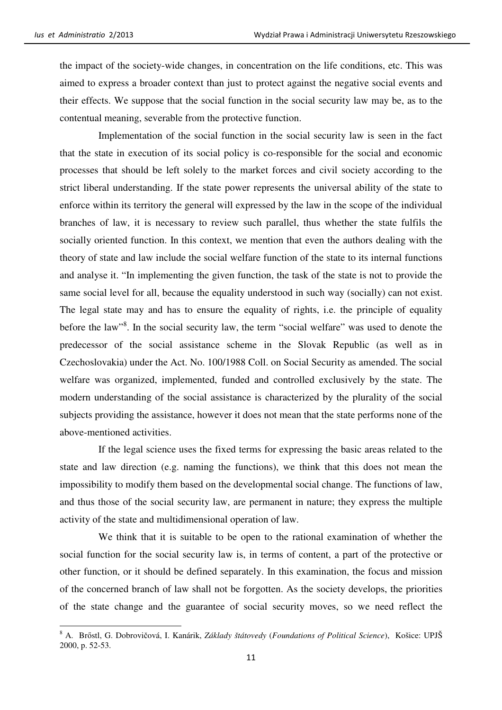the impact of the society-wide changes, in concentration on the life conditions, etc. This was aimed to express a broader context than just to protect against the negative social events and their effects. We suppose that the social function in the social security law may be, as to the contentual meaning, severable from the protective function.

 Implementation of the social function in the social security law is seen in the fact that the state in execution of its social policy is co-responsible for the social and economic processes that should be left solely to the market forces and civil society according to the strict liberal understanding. If the state power represents the universal ability of the state to enforce within its territory the general will expressed by the law in the scope of the individual branches of law, it is necessary to review such parallel, thus whether the state fulfils the socially oriented function. In this context, we mention that even the authors dealing with the theory of state and law include the social welfare function of the state to its internal functions and analyse it. "In implementing the given function, the task of the state is not to provide the same social level for all, because the equality understood in such way (socially) can not exist. The legal state may and has to ensure the equality of rights, i.e. the principle of equality before the law"<sup>8</sup>. In the social security law, the term "social welfare" was used to denote the predecessor of the social assistance scheme in the Slovak Republic (as well as in Czechoslovakia) under the Act. No. 100/1988 Coll. on Social Security as amended. The social welfare was organized, implemented, funded and controlled exclusively by the state. The modern understanding of the social assistance is characterized by the plurality of the social subjects providing the assistance, however it does not mean that the state performs none of the above-mentioned activities.

 If the legal science uses the fixed terms for expressing the basic areas related to the state and law direction (e.g. naming the functions), we think that this does not mean the impossibility to modify them based on the developmental social change. The functions of law, and thus those of the social security law, are permanent in nature; they express the multiple activity of the state and multidimensional operation of law.

 We think that it is suitable to be open to the rational examination of whether the social function for the social security law is, in terms of content, a part of the protective or other function, or it should be defined separately. In this examination, the focus and mission of the concerned branch of law shall not be forgotten. As the society develops, the priorities of the state change and the guarantee of social security moves, so we need reflect the

<sup>8</sup> A. Brőstl, G. Dobrovičová, I. Kanárik, *Základy štátovedy* (*Foundations of Political Science*), Košice: UPJŠ 2000, p. 52-53.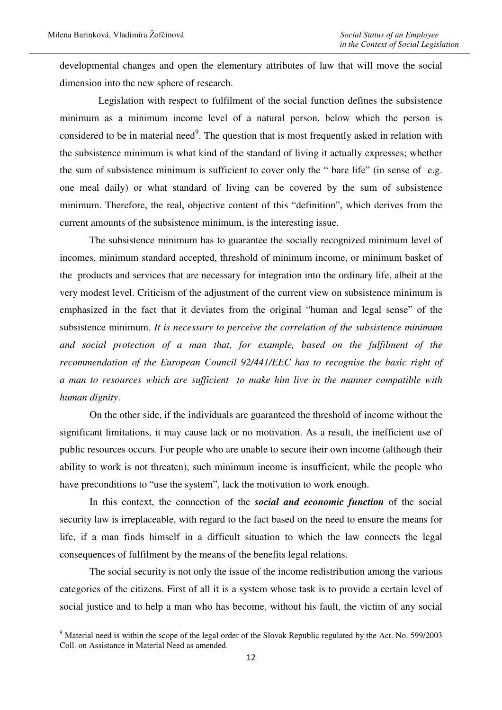developmental changes and open the elementary attributes of law that will move the social dimension into the new sphere of research.

 Legislation with respect to fulfilment of the social function defines the subsistence minimum as a minimum income level of a natural person, below which the person is considered to be in material need<sup>9</sup>. The question that is most frequently asked in relation with the subsistence minimum is what kind of the standard of living it actually expresses; whether the sum of subsistence minimum is sufficient to cover only the " bare life" (in sense of e.g. one meal daily) or what standard of living can be covered by the sum of subsistence minimum. Therefore, the real, objective content of this "definition", which derives from the current amounts of the subsistence minimum, is the interesting issue.

The subsistence minimum has to guarantee the socially recognized minimum level of incomes, minimum standard accepted, threshold of minimum income, or minimum basket of the products and services that are necessary for integration into the ordinary life, albeit at the very modest level. Criticism of the adjustment of the current view on subsistence minimum is emphasized in the fact that it deviates from the original "human and legal sense" of the subsistence minimum. *It is necessary to perceive the correlation of the subsistence minimum and social protection of a man that, for example, based on the fulfilment of the recommendation of the European Council 92/441/EEC has to recognise the basic right of a man to resources which are sufficient to make him live in the manner compatible with human dignity*.

On the other side, if the individuals are guaranteed the threshold of income without the significant limitations, it may cause lack or no motivation. As a result, the inefficient use of public resources occurs. For people who are unable to secure their own income (although their ability to work is not threaten), such minimum income is insufficient, while the people who have preconditions to "use the system", lack the motivation to work enough.

In this context, the connection of the *social and economic function* of the social security law is irreplaceable, with regard to the fact based on the need to ensure the means for life, if a man finds himself in a difficult situation to which the law connects the legal consequences of fulfilment by the means of the benefits legal relations.

The social security is not only the issue of the income redistribution among the various categories of the citizens. First of all it is a system whose task is to provide a certain level of social justice and to help a man who has become, without his fault, the victim of any social

<sup>&</sup>lt;sup>9</sup> Material need is within the scope of the legal order of the Slovak Republic regulated by the Act. No. 599/2003 Coll. on Assistance in Material Need as amended.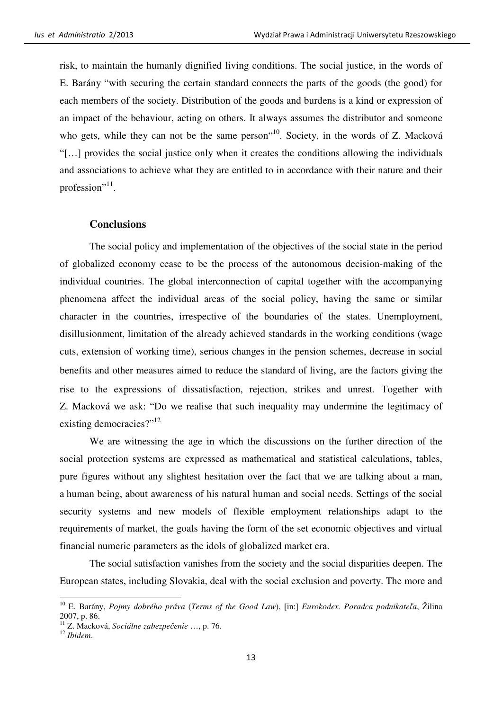risk, to maintain the humanly dignified living conditions. The social justice, in the words of E. Barány "with securing the certain standard connects the parts of the goods (the good) for each members of the society. Distribution of the goods and burdens is a kind or expression of an impact of the behaviour, acting on others. It always assumes the distributor and someone who gets, while they can not be the same person<sup>"10</sup>. Society, in the words of Z. Macková "[…] provides the social justice only when it creates the conditions allowing the individuals and associations to achieve what they are entitled to in accordance with their nature and their profession"<sup>11</sup>.

#### **Conclusions**

The social policy and implementation of the objectives of the social state in the period of globalized economy cease to be the process of the autonomous decision-making of the individual countries. The global interconnection of capital together with the accompanying phenomena affect the individual areas of the social policy, having the same or similar character in the countries, irrespective of the boundaries of the states. Unemployment, disillusionment, limitation of the already achieved standards in the working conditions (wage cuts, extension of working time), serious changes in the pension schemes, decrease in social benefits and other measures aimed to reduce the standard of living, are the factors giving the rise to the expressions of dissatisfaction, rejection, strikes and unrest. Together with Z. Macková we ask: "Do we realise that such inequality may undermine the legitimacy of existing democracies?"<sup>12</sup>

We are witnessing the age in which the discussions on the further direction of the social protection systems are expressed as mathematical and statistical calculations, tables, pure figures without any slightest hesitation over the fact that we are talking about a man, a human being, about awareness of his natural human and social needs. Settings of the social security systems and new models of flexible employment relationships adapt to the requirements of market, the goals having the form of the set economic objectives and virtual financial numeric parameters as the idols of globalized market era.

The social satisfaction vanishes from the society and the social disparities deepen. The European states, including Slovakia, deal with the social exclusion and poverty. The more and

<sup>10</sup> E. Barány, *Pojmy dobrého práva* (*Terms of the Good Law*), [in:] *Eurokodex. Poradca podnikate*ľ*a*, Žilina 2007, p. 86.

<sup>11</sup> Z. Macková, *Sociálne zabezpe*č*enie* …, p. 76.

<sup>12</sup> *Ibidem*.